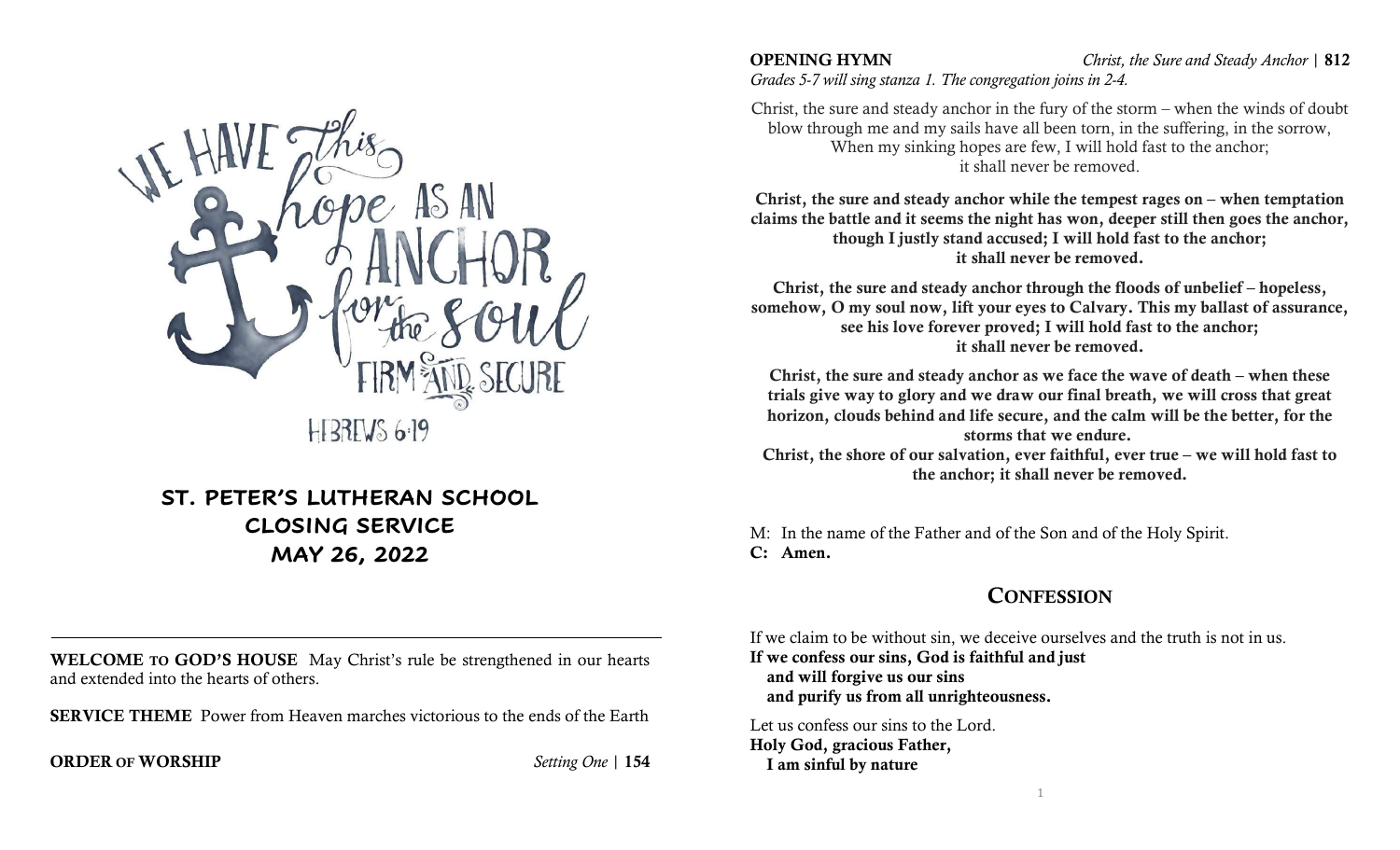

# ST. PETER'S LUTHERAN SCHOOL CLOSING SERVICE MAY 26, 2022

WELCOME TO GOD'S HOUSE May Christ's rule be strengthened in our hearts and extended into the hearts of others.

SERVICE THEME Power from Heaven marches victorious to the ends of the Earth

### **ORDER OF WORSHIP** Setting One | 154

OPENING HYMN Christ, the Sure and Steady Anchor | 812

Grades 5-7 will sing stanza 1. The congregation joins in 2-4.

Christ, the sure and steady anchor in the fury of the storm – when the winds of doubt blow through me and my sails have all been torn, in the suffering, in the sorrow, When my sinking hopes are few, I will hold fast to the anchor; it shall never be removed.

Christ, the sure and steady anchor while the tempest rages on – when temptation claims the battle and it seems the night has won, deeper still then goes the anchor, though I justly stand accused; I will hold fast to the anchor; it shall never be removed.

Christ, the sure and steady anchor through the floods of unbelief – hopeless, somehow, O my soul now, lift your eyes to Calvary. This my ballast of assurance, see his love forever proved; I will hold fast to the anchor; it shall never be removed.

Christ, the sure and steady anchor as we face the wave of death – when these trials give way to glory and we draw our final breath, we will cross that great horizon, clouds behind and life secure, and the calm will be the better, for the storms that we endure.

Christ, the shore of our salvation, ever faithful, ever true – we will hold fast to the anchor; it shall never be removed.

M: In the name of the Father and of the Son and of the Holy Spirit. C: Amen.

# **CONFESSION**

If we claim to be without sin, we deceive ourselves and the truth is not in us. If we confess our sins, God is faithful and just and will forgive us our sins and purify us from all unrighteousness.

Let us confess our sins to the Lord. Holy God, gracious Father, I am sinful by nature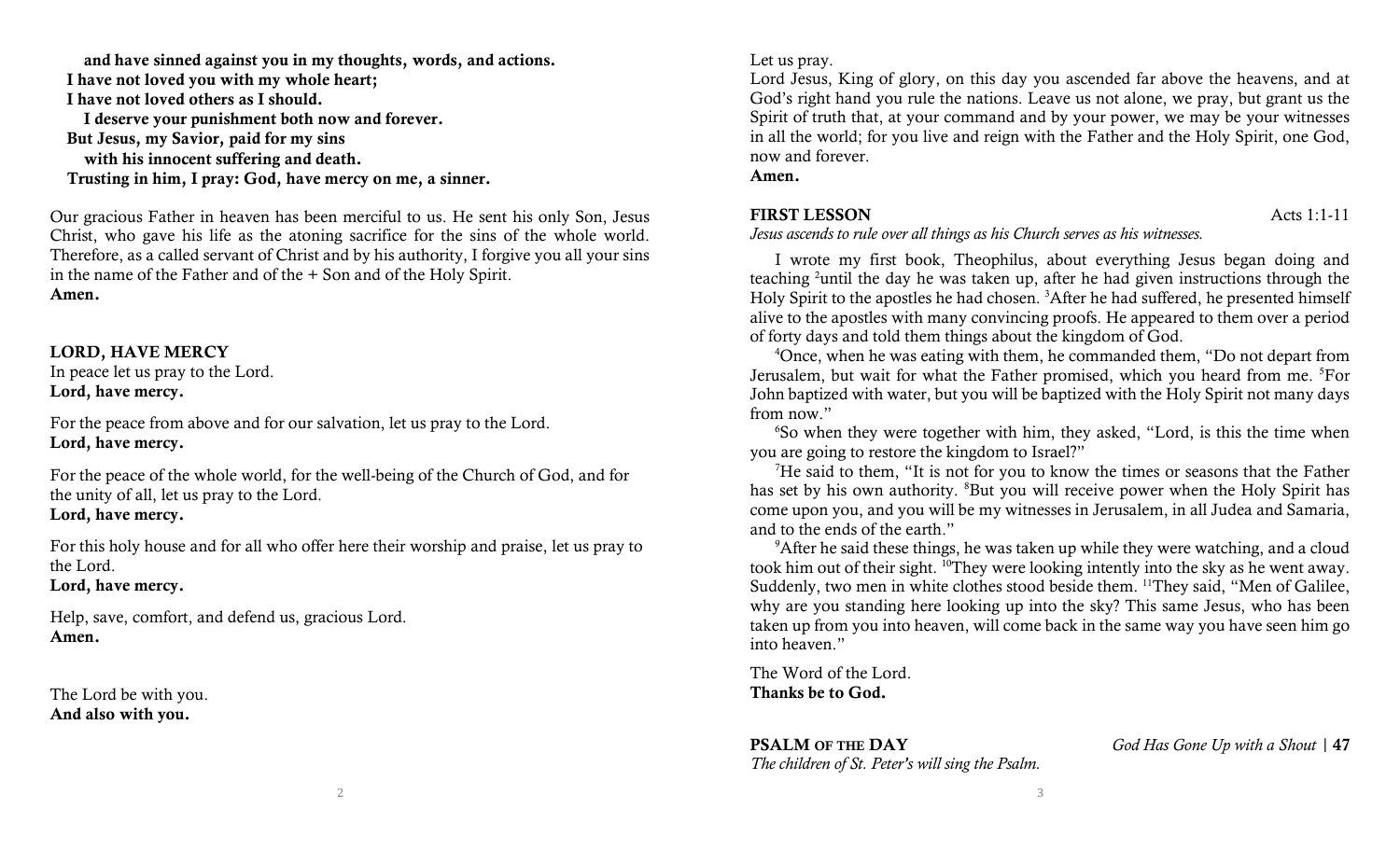and have sinned against you in my thoughts, words, and actions.

I have not loved you with my whole heart;

I have not loved others as I should.

I deserve your punishment both now and forever.

But Jesus, my Savior, paid for my sins

with his innocent suffering and death.

Trusting in him, I pray: God, have mercy on me, a sinner.

Our gracious Father in heaven has been merciful to us. He sent his only Son, Jesus Christ, who gave his life as the atoning sacrifice for the sins of the whole world. Therefore, as a called servant of Christ and by his authority, I forgive you all your sins in the name of the Father and of the + Son and of the Holy Spirit. Amen.

### LORD, HAVE MERCY

In peace let us pray to the Lord. Lord, have mercy.

For the peace from above and for our salvation, let us pray to the Lord. Lord, have mercy.

For the peace of the whole world, for the well-being of the Church of God, and for the unity of all, let us pray to the Lord. Lord, have mercy.

For this holy house and for all who offer here their worship and praise, let us pray to the Lord.

Lord, have mercy.

Help, save, comfort, and defend us, gracious Lord. Amen.

The Lord be with you. And also with you.

#### Let us pray.

Lord Jesus, King of glory, on this day you ascended far above the heavens, and at God's right hand you rule the nations. Leave us not alone, we pray, but grant us the Spirit of truth that, at your command and by your power, we may be your witnesses in all the world; for you live and reign with the Father and the Holy Spirit, one God, now and forever.

Amen.

### FIRST LESSON Acts 1:1-11

Jesus ascends to rule over all things as his Church serves as his witnesses.

I wrote my first book, Theophilus, about everything Jesus began doing and teaching <sup>2</sup>until the day he was taken up, after he had given instructions through the Holy Spirit to the apostles he had chosen. <sup>3</sup>After he had suffered, he presented himself alive to the apostles with many convincing proofs. He appeared to them over a period of forty days and told them things about the kingdom of God.

<sup>4</sup>Once, when he was eating with them, he commanded them, "Do not depart from Jerusalem, but wait for what the Father promised, which you heard from me. <sup>5</sup>For John baptized with water, but you will be baptized with the Holy Spirit not many days from now."

<sup>6</sup>So when they were together with him, they asked, "Lord, is this the time when you are going to restore the kingdom to Israel?"

 ${}^{7}$ He said to them, "It is not for you to know the times or seasons that the Father has set by his own authority. <sup>8</sup>But you will receive power when the Holy Spirit has come upon you, and you will be my witnesses in Jerusalem, in all Judea and Samaria, and to the ends of the earth."

<sup>9</sup>After he said these things, he was taken up while they were watching, and a cloud took him out of their sight. <sup>10</sup>They were looking intently into the sky as he went away. Suddenly, two men in white clothes stood beside them. <sup>11</sup>They said, "Men of Galilee, why are you standing here looking up into the sky? This same Jesus, who has been taken up from you into heaven, will come back in the same way you have seen him go into heaven."

The Word of the Lord. Thanks be to God.

The children of St. Peter's will sing the Psalm.

**PSALM OF THE DAY** God Has Gone Up with a Shout | 47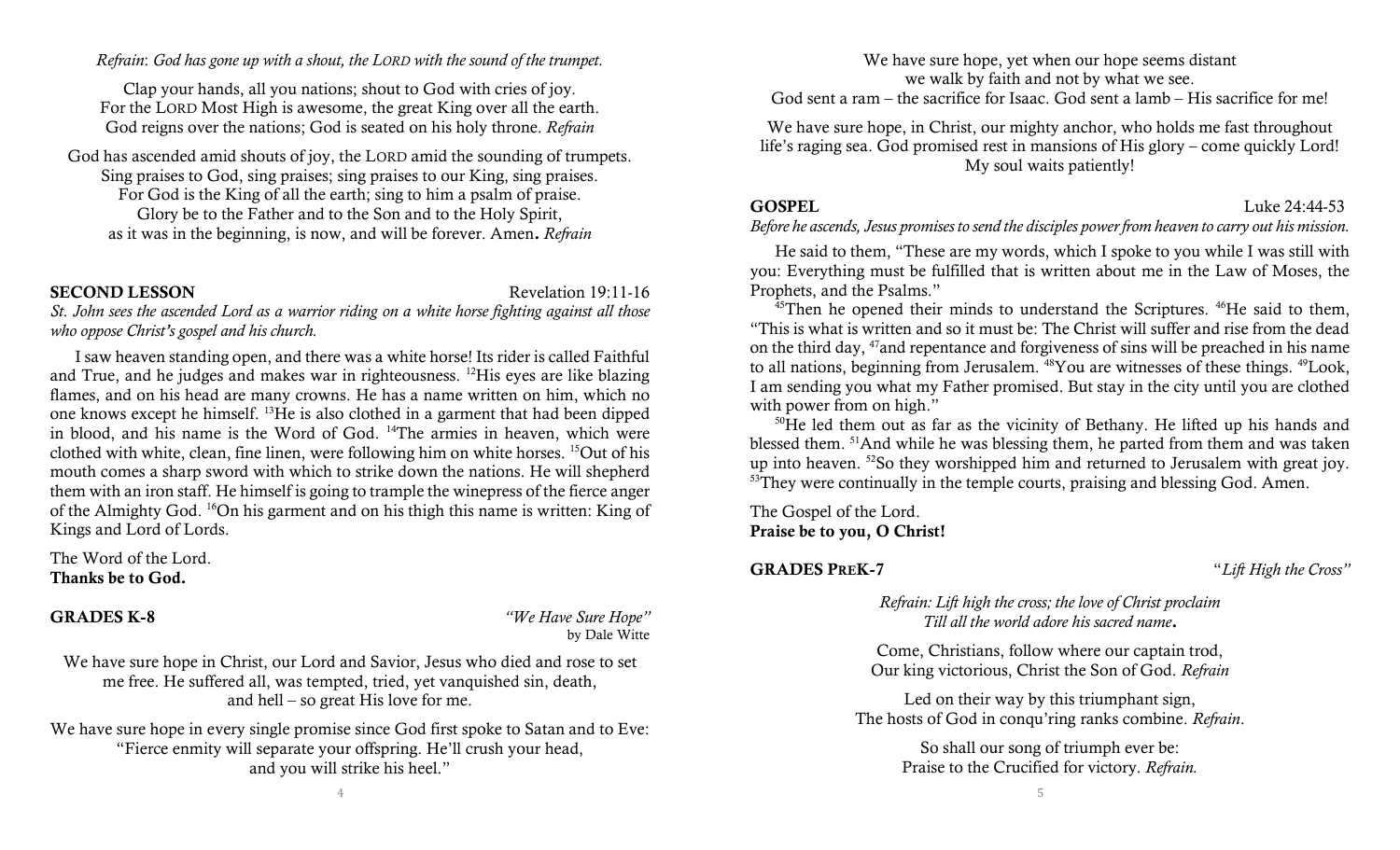Refrain: God has gone up with a shout, the LORD with the sound of the trumpet.

Clap your hands, all you nations; shout to God with cries of joy. For the LORD Most High is awesome, the great King over all the earth. God reigns over the nations; God is seated on his holy throne. Refrain

God has ascended amid shouts of joy, the LORD amid the sounding of trumpets. Sing praises to God, sing praises; sing praises to our King, sing praises. For God is the King of all the earth; sing to him a psalm of praise. Glory be to the Father and to the Son and to the Holy Spirit, as it was in the beginning, is now, and will be forever. Amen. Refrain

#### SECOND LESSON Revelation 19:11-16

St. John sees the ascended Lord as a warrior riding on a white horse fighting against all those who oppose Christ's gospel and his church.

I saw heaven standing open, and there was a white horse! Its rider is called Faithful and True, and he judges and makes war in righteousness. <sup>12</sup>His eyes are like blazing flames, and on his head are many crowns. He has a name written on him, which no one knows except he himself. <sup>13</sup>He is also clothed in a garment that had been dipped in blood, and his name is the Word of God. <sup>14</sup>The armies in heaven, which were clothed with white, clean, fine linen, were following him on white horses. <sup>15</sup>Out of his mouth comes a sharp sword with which to strike down the nations. He will shepherd them with an iron staff. He himself is going to trample the winepress of the fierce anger of the Almighty God. <sup>16</sup>On his garment and on his thigh this name is written: King of Kings and Lord of Lords.

The Word of the Lord. Thanks be to God.

GRADES K-8 "We Have Sure Hope" by Dale Witte

We have sure hope in Christ, our Lord and Savior, Jesus who died and rose to set me free. He suffered all, was tempted, tried, yet vanquished sin, death, and hell – so great His love for me.

We have sure hope in every single promise since God first spoke to Satan and to Eve: "Fierce enmity will separate your offspring. He'll crush your head, and you will strike his heel."

We have sure hope, yet when our hope seems distant we walk by faith and not by what we see.

God sent a ram – the sacrifice for Isaac. God sent a lamb – His sacrifice for me!

We have sure hope, in Christ, our mighty anchor, who holds me fast throughout life's raging sea. God promised rest in mansions of His glory – come quickly Lord! My soul waits patiently!

### GOSPEL Luke 24:44-53

#### Before he ascends, Jesus promises to send the disciples power from heaven to carry out his mission.

He said to them, "These are my words, which I spoke to you while I was still with you: Everything must be fulfilled that is written about me in the Law of Moses, the Prophets, and the Psalms."

<sup>45</sup>Then he opened their minds to understand the Scriptures. <sup>46</sup>He said to them, "This is what is written and so it must be: The Christ will suffer and rise from the dead on the third day, <sup>47</sup>and repentance and forgiveness of sins will be preached in his name to all nations, beginning from Jerusalem. <sup>48</sup>You are witnesses of these things. <sup>49</sup>Look, I am sending you what my Father promised. But stay in the city until you are clothed with power from on high."

 $50$ He led them out as far as the vicinity of Bethany. He lifted up his hands and blessed them. <sup>51</sup>And while he was blessing them, he parted from them and was taken up into heaven. <sup>52</sup>So they worshipped him and returned to Jerusalem with great joy. <sup>53</sup>They were continually in the temple courts, praising and blessing God. Amen.

The Gospel of the Lord. Praise be to you, O Christ!

GRADES PREK-7 "Lift High the Cross"

Refrain: Lift high the cross; the love of Christ proclaim Till all the world adore his sacred name.

Come, Christians, follow where our captain trod, Our king victorious, Christ the Son of God. Refrain

Led on their way by this triumphant sign, The hosts of God in conqu'ring ranks combine. Refrain.

> So shall our song of triumph ever be: Praise to the Crucified for victory. Refrain.